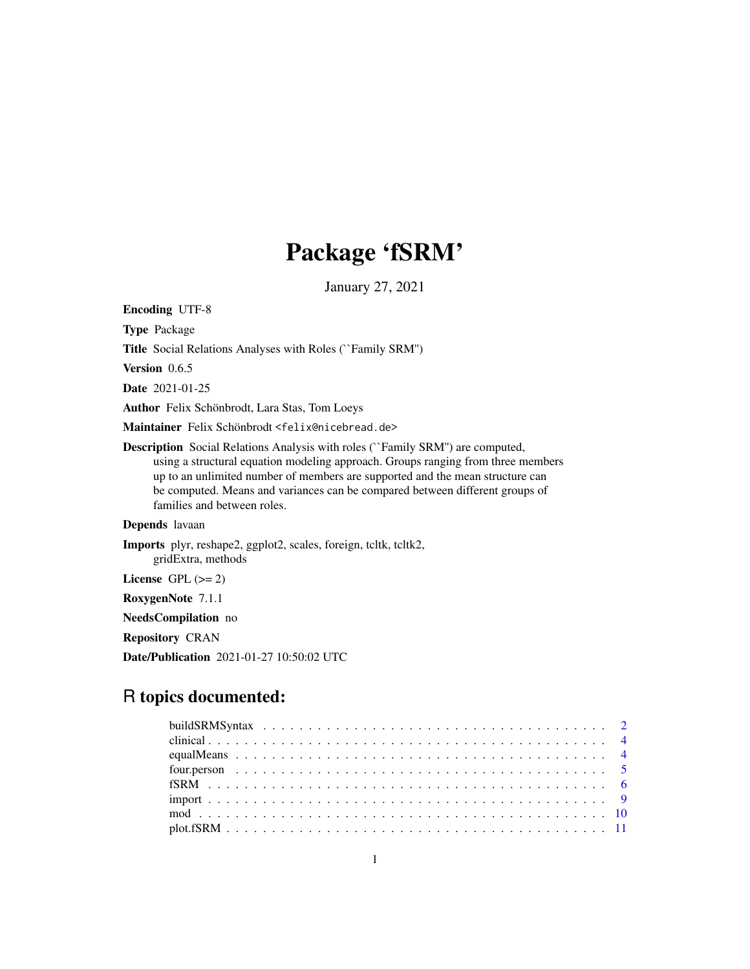# Package 'fSRM'

January 27, 2021

Encoding UTF-8 Type Package Title Social Relations Analyses with Roles (``Family SRM'') Version 0.6.5 Date 2021-01-25 Author Felix Schönbrodt, Lara Stas, Tom Loeys Maintainer Felix Schönbrodt <felix@nicebread.de> Description Social Relations Analysis with roles (``Family SRM'') are computed, using a structural equation modeling approach. Groups ranging from three members up to an unlimited number of members are supported and the mean structure can be computed. Means and variances can be compared between different groups of families and between roles. Depends lavaan Imports plyr, reshape2, ggplot2, scales, foreign, tcltk, tcltk2, gridExtra, methods License GPL  $(>= 2)$ 

RoxygenNote 7.1.1

NeedsCompilation no

Repository CRAN

Date/Publication 2021-01-27 10:50:02 UTC

# R topics documented: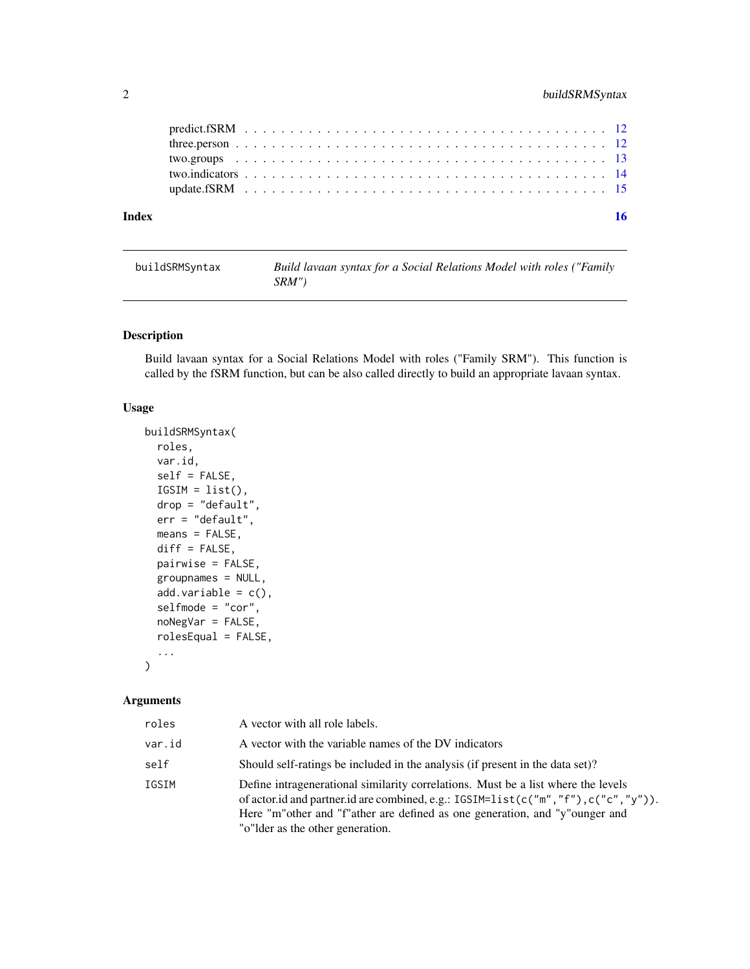# <span id="page-1-0"></span>2 buildSRMSyntax

| Index |  |  |  |  |  |  |  |  |  |  |  |  |  |  |  |  |  |  |  |  |
|-------|--|--|--|--|--|--|--|--|--|--|--|--|--|--|--|--|--|--|--|--|
|       |  |  |  |  |  |  |  |  |  |  |  |  |  |  |  |  |  |  |  |  |
|       |  |  |  |  |  |  |  |  |  |  |  |  |  |  |  |  |  |  |  |  |
|       |  |  |  |  |  |  |  |  |  |  |  |  |  |  |  |  |  |  |  |  |
|       |  |  |  |  |  |  |  |  |  |  |  |  |  |  |  |  |  |  |  |  |
|       |  |  |  |  |  |  |  |  |  |  |  |  |  |  |  |  |  |  |  |  |

| buildSRMSyntax | Build lavaan syntax for a Social Relations Model with roles ("Family |
|----------------|----------------------------------------------------------------------|
|                | SRM"'                                                                |

# Description

Build lavaan syntax for a Social Relations Model with roles ("Family SRM"). This function is called by the fSRM function, but can be also called directly to build an appropriate lavaan syntax.

### Usage

```
buildSRMSyntax(
  roles,
 var.id,
  self = FALSE,
  IGSIM = list(),drop = "default",
  err = "default",
 means = FALSE,
  diff = FALSE,
 pairwise = FALSE,
  groupnames = NULL,
 add.variable = c(),
  selfmode = "cor",
  noNegVar = FALSE,
  rolesEqual = FALSE,
  ...
)
```
# Arguments

| roles  | A vector with all role labels.                                                                                                                                                                                                                                                             |
|--------|--------------------------------------------------------------------------------------------------------------------------------------------------------------------------------------------------------------------------------------------------------------------------------------------|
| var.id | A vector with the variable names of the DV indicators                                                                                                                                                                                                                                      |
| self   | Should self-ratings be included in the analysis (if present in the data set)?                                                                                                                                                                                                              |
| IGSIM  | Define intragenerational similarity correlations. Must be a list where the levels<br>of actor.id and partner.id are combined, e.g.: IGSIM=list(c("m","f"),c("c","y")).<br>Here "m"other and "f"ather are defined as one generation, and "y"ounger and<br>"o" lder as the other generation. |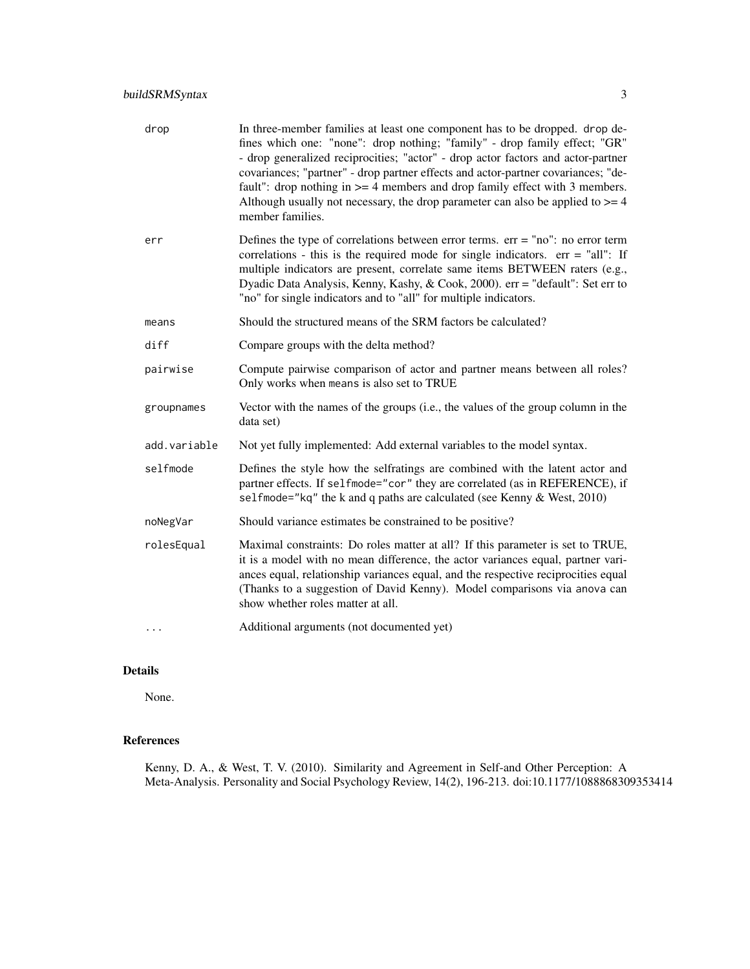| drop         | In three-member families at least one component has to be dropped. drop de-<br>fines which one: "none": drop nothing; "family" - drop family effect; "GR"<br>- drop generalized reciprocities; "actor" - drop actor factors and actor-partner<br>covariances; "partner" - drop partner effects and actor-partner covariances; "de-<br>fault": drop nothing in $>=$ 4 members and drop family effect with 3 members.<br>Although usually not necessary, the drop parameter can also be applied to $>= 4$<br>member families. |
|--------------|-----------------------------------------------------------------------------------------------------------------------------------------------------------------------------------------------------------------------------------------------------------------------------------------------------------------------------------------------------------------------------------------------------------------------------------------------------------------------------------------------------------------------------|
| err          | Defines the type of correlations between error terms. $err = "no"$ : no error term<br>correlations - this is the required mode for single indicators. $err = "all"$ : If<br>multiple indicators are present, correlate same items BETWEEN raters (e.g.,<br>Dyadic Data Analysis, Kenny, Kashy, & Cook, 2000). err = "default": Set err to<br>"no" for single indicators and to "all" for multiple indicators.                                                                                                               |
| means        | Should the structured means of the SRM factors be calculated?                                                                                                                                                                                                                                                                                                                                                                                                                                                               |
| diff         | Compare groups with the delta method?                                                                                                                                                                                                                                                                                                                                                                                                                                                                                       |
| pairwise     | Compute pairwise comparison of actor and partner means between all roles?<br>Only works when means is also set to TRUE                                                                                                                                                                                                                                                                                                                                                                                                      |
| groupnames   | Vector with the names of the groups (i.e., the values of the group column in the<br>data set)                                                                                                                                                                                                                                                                                                                                                                                                                               |
| add.variable | Not yet fully implemented: Add external variables to the model syntax.                                                                                                                                                                                                                                                                                                                                                                                                                                                      |
| selfmode     | Defines the style how the selfratings are combined with the latent actor and<br>partner effects. If selfmode="cor" they are correlated (as in REFERENCE), if<br>selfmode="kq" the k and q paths are calculated (see Kenny & West, 2010)                                                                                                                                                                                                                                                                                     |
| noNegVar     | Should variance estimates be constrained to be positive?                                                                                                                                                                                                                                                                                                                                                                                                                                                                    |
| rolesEqual   | Maximal constraints: Do roles matter at all? If this parameter is set to TRUE,<br>it is a model with no mean difference, the actor variances equal, partner vari-<br>ances equal, relationship variances equal, and the respective reciprocities equal<br>(Thanks to a suggestion of David Kenny). Model comparisons via anova can<br>show whether roles matter at all.                                                                                                                                                     |
|              | Additional arguments (not documented yet)                                                                                                                                                                                                                                                                                                                                                                                                                                                                                   |
|              |                                                                                                                                                                                                                                                                                                                                                                                                                                                                                                                             |

# Details

None.

# References

Kenny, D. A., & West, T. V. (2010). Similarity and Agreement in Self-and Other Perception: A Meta-Analysis. Personality and Social Psychology Review, 14(2), 196-213. doi:10.1177/1088868309353414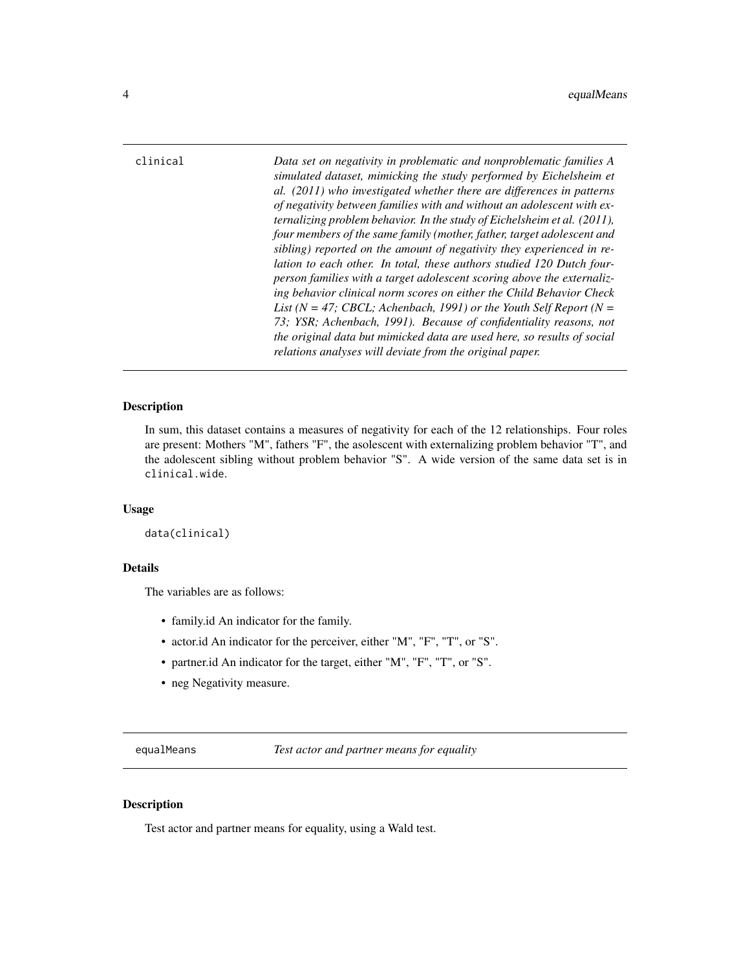<span id="page-3-0"></span>clinical *Data set on negativity in problematic and nonproblematic families A simulated dataset, mimicking the study performed by Eichelsheim et al. (2011) who investigated whether there are differences in patterns of negativity between families with and without an adolescent with externalizing problem behavior. In the study of Eichelsheim et al. (2011), four members of the same family (mother, father, target adolescent and sibling) reported on the amount of negativity they experienced in relation to each other. In total, these authors studied 120 Dutch fourperson families with a target adolescent scoring above the externalizing behavior clinical norm scores on either the Child Behavior Check List (N = 47; CBCL; Achenbach, 1991) or the Youth Self Report (N = 73; YSR; Achenbach, 1991). Because of confidentiality reasons, not the original data but mimicked data are used here, so results of social relations analyses will deviate from the original paper.*

# **Description**

In sum, this dataset contains a measures of negativity for each of the 12 relationships. Four roles are present: Mothers "M", fathers "F", the asolescent with externalizing problem behavior "T", and the adolescent sibling without problem behavior "S". A wide version of the same data set is in clinical.wide.

#### Usage

```
data(clinical)
```
#### Details

The variables are as follows:

- family.id An indicator for the family.
- actor.id An indicator for the perceiver, either "M", "F", "T", or "S".
- partner.id An indicator for the target, either "M", "F", "T", or "S".
- neg Negativity measure.

<span id="page-3-1"></span>equalMeans *Test actor and partner means for equality*

#### **Description**

Test actor and partner means for equality, using a Wald test.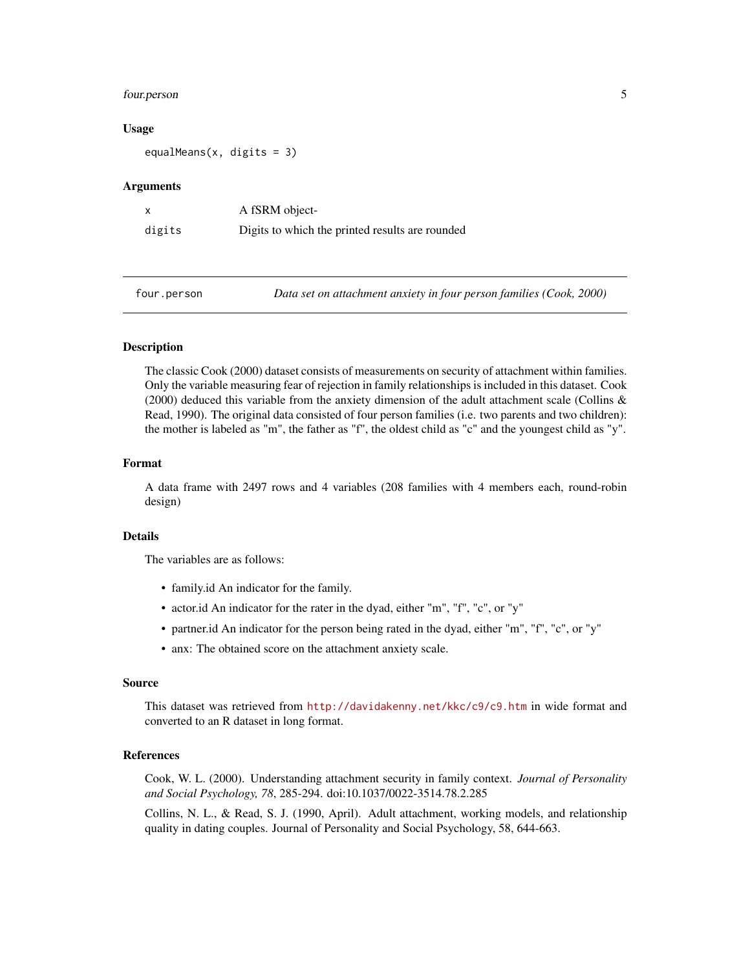# <span id="page-4-0"></span>four.person 5

#### Usage

equalMeans(x, digits = 3)

#### Arguments

| $\boldsymbol{\mathsf{x}}$ | A fSRM object-                                  |
|---------------------------|-------------------------------------------------|
| digits                    | Digits to which the printed results are rounded |

four.person *Data set on attachment anxiety in four person families (Cook, 2000)*

### **Description**

The classic Cook (2000) dataset consists of measurements on security of attachment within families. Only the variable measuring fear of rejection in family relationships is included in this dataset. Cook (2000) deduced this variable from the anxiety dimension of the adult attachment scale (Collins  $\&$ Read, 1990). The original data consisted of four person families (i.e. two parents and two children): the mother is labeled as "m", the father as "f", the oldest child as "c" and the youngest child as "y".

#### Format

A data frame with 2497 rows and 4 variables (208 families with 4 members each, round-robin design)

#### Details

The variables are as follows:

- family.id An indicator for the family.
- actor.id An indicator for the rater in the dyad, either "m", "f", "c", or "y"
- partner.id An indicator for the person being rated in the dyad, either "m", "f", "c", or "y"
- anx: The obtained score on the attachment anxiety scale.

#### Source

This dataset was retrieved from <http://davidakenny.net/kkc/c9/c9.htm> in wide format and converted to an R dataset in long format.

#### References

Cook, W. L. (2000). Understanding attachment security in family context. *Journal of Personality and Social Psychology, 78*, 285-294. doi:10.1037/0022-3514.78.2.285

Collins, N. L., & Read, S. J. (1990, April). Adult attachment, working models, and relationship quality in dating couples. Journal of Personality and Social Psychology, 58, 644-663.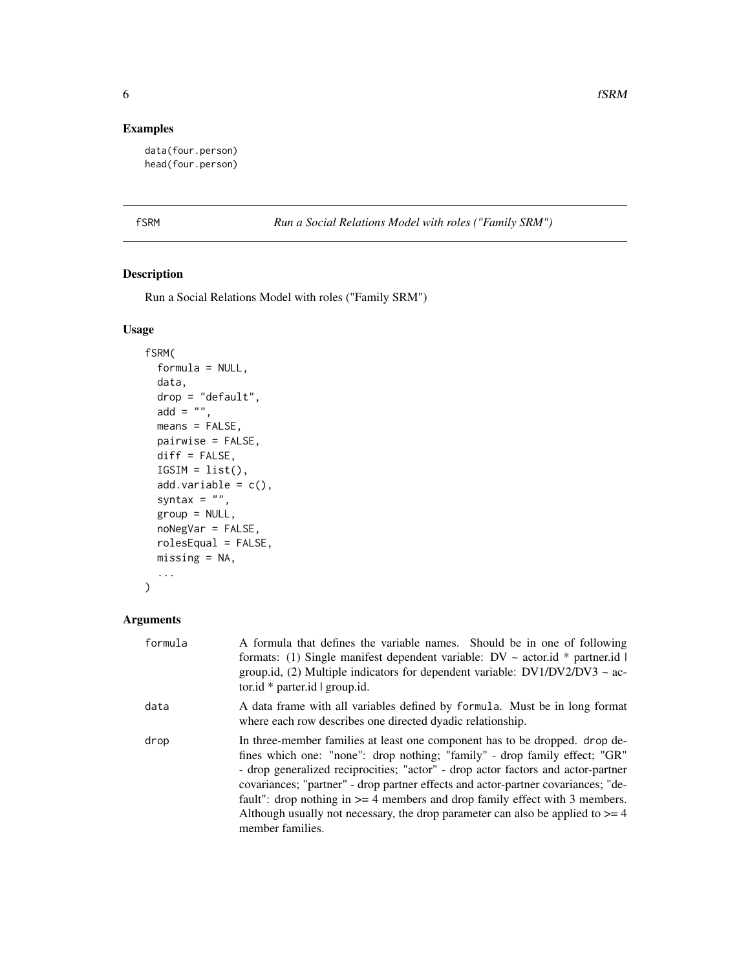# Examples

```
data(four.person)
head(four.person)
```
fSRM *Run a Social Relations Model with roles ("Family SRM")*

# Description

Run a Social Relations Model with roles ("Family SRM")

# Usage

```
fSRM(
  formula = NULL,
 data,
 drop = "default",
 add = ",
 means = FALSE,
 pairwise = FALSE,
 diff = FALSE,ISIM = list(),add.variable = c(),
  syntax = ",
 group = NULL,
 noNegVar = FALSE,
 rolesEqual = FALSE,
 missing = NA,
  ...
```
# Arguments

)

| formula | A formula that defines the variable names. Should be in one of following<br>formats: (1) Single manifest dependent variable: $DV \sim$ actor.id * partner.id  <br>group.id, (2) Multiple indicators for dependent variable: $DV1/DV2/DV3 \sim ac$<br>tor.id $*$ parter.id $ $ group.id.                                                                                                                                                                                                                                       |
|---------|-------------------------------------------------------------------------------------------------------------------------------------------------------------------------------------------------------------------------------------------------------------------------------------------------------------------------------------------------------------------------------------------------------------------------------------------------------------------------------------------------------------------------------|
| data    | A data frame with all variables defined by formula. Must be in long format<br>where each row describes one directed dyadic relationship.                                                                                                                                                                                                                                                                                                                                                                                      |
| drop    | In three-member families at least one component has to be dropped. drop de-<br>fines which one: "none": drop nothing; "family" - drop family effect; "GR"<br>- drop generalized reciprocities; "actor" - drop actor factors and actor-partner<br>covariances; "partner" - drop partner effects and actor-partner covariances; "de-<br>fault": drop nothing in $>= 4$ members and drop family effect with 3 members.<br>Although usually not necessary, the drop parameter can also be applied to $\geq 4$<br>member families. |

<span id="page-5-0"></span>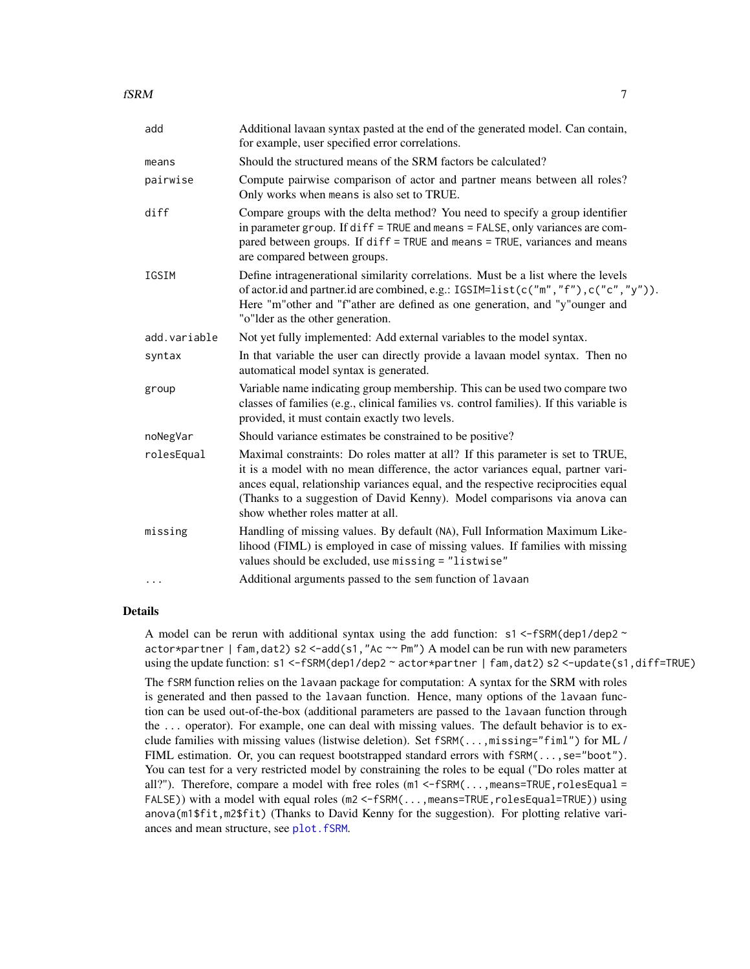<span id="page-6-0"></span>

| add          | Additional lavaan syntax pasted at the end of the generated model. Can contain,<br>for example, user specified error correlations.                                                                                                                                                                                                                                      |
|--------------|-------------------------------------------------------------------------------------------------------------------------------------------------------------------------------------------------------------------------------------------------------------------------------------------------------------------------------------------------------------------------|
| means        | Should the structured means of the SRM factors be calculated?                                                                                                                                                                                                                                                                                                           |
| pairwise     | Compute pairwise comparison of actor and partner means between all roles?<br>Only works when means is also set to TRUE.                                                                                                                                                                                                                                                 |
| diff         | Compare groups with the delta method? You need to specify a group identifier<br>in parameter group. If diff = TRUE and means = FALSE, only variances are com-<br>pared between groups. If diff = TRUE and means = TRUE, variances and means<br>are compared between groups.                                                                                             |
| IGSIM        | Define intragenerational similarity correlations. Must be a list where the levels<br>of actor.id and partner.id are combined, e.g.: IGSIM=list(c("m","f"),c("c","y")).<br>Here "m"other and "f"ather are defined as one generation, and "y"ounger and<br>"o"lder as the other generation.                                                                               |
| add.variable | Not yet fully implemented: Add external variables to the model syntax.                                                                                                                                                                                                                                                                                                  |
| syntax       | In that variable the user can directly provide a lavaan model syntax. Then no<br>automatical model syntax is generated.                                                                                                                                                                                                                                                 |
| group        | Variable name indicating group membership. This can be used two compare two<br>classes of families (e.g., clinical families vs. control families). If this variable is<br>provided, it must contain exactly two levels.                                                                                                                                                 |
| noNegVar     | Should variance estimates be constrained to be positive?                                                                                                                                                                                                                                                                                                                |
| rolesEqual   | Maximal constraints: Do roles matter at all? If this parameter is set to TRUE,<br>it is a model with no mean difference, the actor variances equal, partner vari-<br>ances equal, relationship variances equal, and the respective reciprocities equal<br>(Thanks to a suggestion of David Kenny). Model comparisons via anova can<br>show whether roles matter at all. |
| missing      | Handling of missing values. By default (NA), Full Information Maximum Like-<br>lihood (FIML) is employed in case of missing values. If families with missing<br>values should be excluded, use missing = "listwise"                                                                                                                                                     |
| .            | Additional arguments passed to the sem function of lavaan                                                                                                                                                                                                                                                                                                               |

# Details

A model can be rerun with additional syntax using the add function:  $s1 < -fSRM(dep1/dep2$  $actor * partner$  | fam,  $dat2$ ) s2 <-add(s1, "Ac  $\sim P$ m") A model can be run with new parameters using the update function: s1 <-fSRM(dep1/dep2 ~ actor\*partner | fam,dat2) s2 <-update(s1,diff=TRUE)

The fSRM function relies on the lavaan package for computation: A syntax for the SRM with roles is generated and then passed to the lavaan function. Hence, many options of the lavaan function can be used out-of-the-box (additional parameters are passed to the lavaan function through the ... operator). For example, one can deal with missing values. The default behavior is to exclude families with missing values (listwise deletion). Set fSRM(...,missing="fiml") for ML / FIML estimation. Or, you can request bootstrapped standard errors with  $fSRM(\ldots, see "boot").$ You can test for a very restricted model by constraining the roles to be equal ("Do roles matter at all?"). Therefore, compare a model with free roles (m1 <-fSRM(...,means=TRUE, rolesEqual = FALSE)) with a model with equal roles (m2 <-fSRM(...,means=TRUE,rolesEqual=TRUE)) using anova(m1\$fit,m2\$fit) (Thanks to David Kenny for the suggestion). For plotting relative variances and mean structure, see [plot.fSRM](#page-10-1).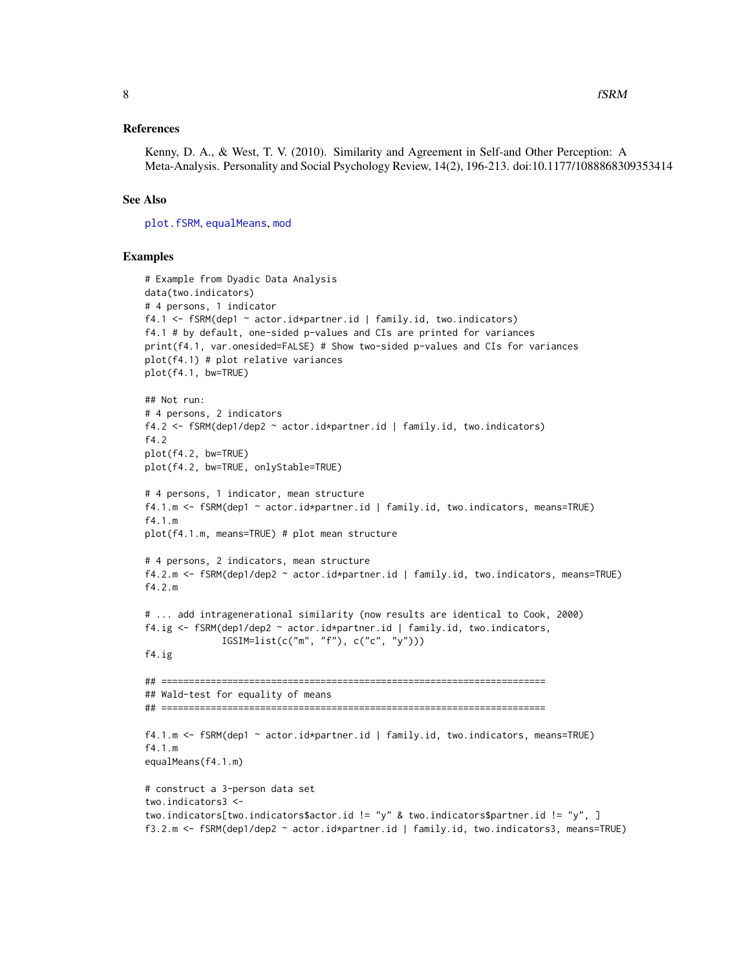#### <span id="page-7-0"></span>References

Kenny, D. A., & West, T. V. (2010). Similarity and Agreement in Self-and Other Perception: A Meta-Analysis. Personality and Social Psychology Review, 14(2), 196-213. doi:10.1177/1088868309353414

#### See Also

[plot.fSRM](#page-10-1), [equalMeans](#page-3-1), [mod](#page-9-1)

#### Examples

```
# Example from Dyadic Data Analysis
data(two.indicators)
# 4 persons, 1 indicator
f4.1 \leq fSRM(dep1 \sim actor.id*partner.id | family.id, two.indicators)
f4.1 # by default, one-sided p-values and CIs are printed for variances
print(f4.1, var.onesided=FALSE) # Show two-sided p-values and CIs for variances
plot(f4.1) # plot relative variances
plot(f4.1, bw=TRUE)
## Not run:
# 4 persons, 2 indicators
f4.2 <- fSRM(dep1/dep2 ~ actor.id*partner.id | family.id, two.indicators)
f4.2
plot(f4.2, bw=TRUE)
plot(f4.2, bw=TRUE, onlyStable=TRUE)
# 4 persons, 1 indicator, mean structure
f4.1.m <- fSRM(dep1 ~ actor.id*partner.id | family.id, two.indicators, means=TRUE)
f4.1.m
plot(f4.1.m, means=TRUE) # plot mean structure
# 4 persons, 2 indicators, mean structure
f4.2.m <- fSRM(dep1/dep2 ~ actor.id*partner.id | family.id, two.indicators, means=TRUE)
f4.2.m
# ... add intragenerational similarity (now results are identical to Cook, 2000)
f4.ig <- fSRM(dep1/dep2 ~ actor.id*partner.id | family.id, two.indicators,
              IGSIM=list(c("m", "f"), c("c", "y")))
f4.ig
## ======================================================================
## Wald-test for equality of means
## ======================================================================
f4.1.m <- fSRM(dep1 ~ actor.id*partner.id | family.id, two.indicators, means=TRUE)
f4.1.m
equalMeans(f4.1.m)
# construct a 3-person data set
two.indicators3 <-
two.indicators[two.indicators$actor.id != "y" & two.indicators$partner.id != "y", ]
f3.2.m <- fSRM(dep1/dep2 ~ actor.id*partner.id | family.id, two.indicators3, means=TRUE)
```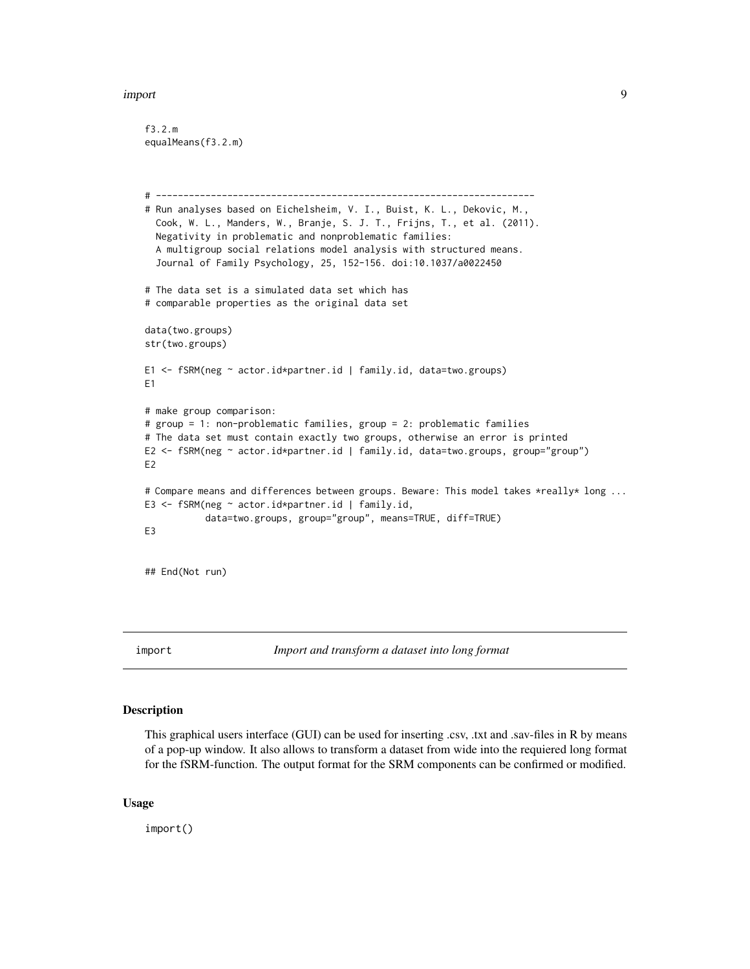#### <span id="page-8-0"></span>import 9

```
f3.2.m
equalMeans(f3.2.m)
# ---------------------------------------------------------------------
# Run analyses based on Eichelsheim, V. I., Buist, K. L., Dekovic, M.,
  Cook, W. L., Manders, W., Branje, S. J. T., Frijns, T., et al. (2011).
  Negativity in problematic and nonproblematic families:
  A multigroup social relations model analysis with structured means.
  Journal of Family Psychology, 25, 152-156. doi:10.1037/a0022450
# The data set is a simulated data set which has
# comparable properties as the original data set
data(two.groups)
str(two.groups)
E1 <- fSRM(neg ~ actor.id*partner.id | family.id, data=two.groups)
E1
# make group comparison:
# group = 1: non-problematic families, group = 2: problematic families
# The data set must contain exactly two groups, otherwise an error is printed
E2 <- fSRM(neg ~ actor.id*partner.id | family.id, data=two.groups, group="group")
E2
# Compare means and differences between groups. Beware: This model takes *really* long ...
E3 <- fSRM(neg ~ actor.id*partner.id | family.id,
           data=two.groups, group="group", means=TRUE, diff=TRUE)
E3
## End(Not run)
```
import *Import and transform a dataset into long format*

#### Description

This graphical users interface (GUI) can be used for inserting .csv, .txt and .sav-files in R by means of a pop-up window. It also allows to transform a dataset from wide into the requiered long format for the fSRM-function. The output format for the SRM components can be confirmed or modified.

#### Usage

import()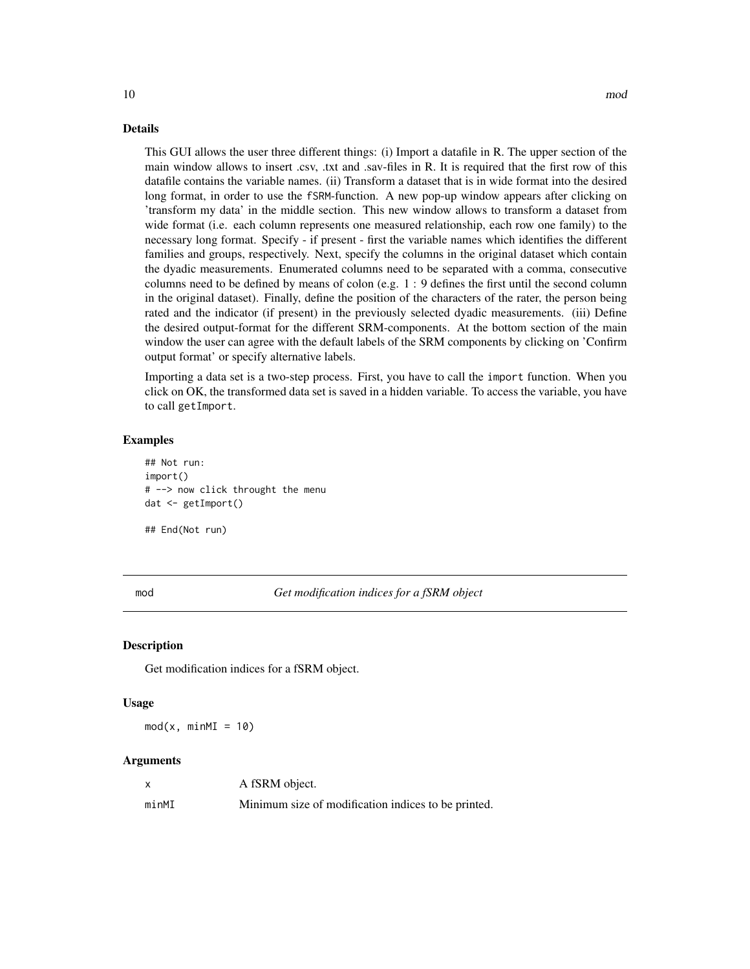#### <span id="page-9-0"></span>Details

This GUI allows the user three different things: (i) Import a datafile in R. The upper section of the main window allows to insert .csv, .txt and .sav-files in R. It is required that the first row of this datafile contains the variable names. (ii) Transform a dataset that is in wide format into the desired long format, in order to use the fSRM-function. A new pop-up window appears after clicking on 'transform my data' in the middle section. This new window allows to transform a dataset from wide format (i.e. each column represents one measured relationship, each row one family) to the necessary long format. Specify - if present - first the variable names which identifies the different families and groups, respectively. Next, specify the columns in the original dataset which contain the dyadic measurements. Enumerated columns need to be separated with a comma, consecutive columns need to be defined by means of colon (e.g. 1 : 9 defines the first until the second column in the original dataset). Finally, define the position of the characters of the rater, the person being rated and the indicator (if present) in the previously selected dyadic measurements. (iii) Define the desired output-format for the different SRM-components. At the bottom section of the main window the user can agree with the default labels of the SRM components by clicking on 'Confirm output format' or specify alternative labels.

Importing a data set is a two-step process. First, you have to call the import function. When you click on OK, the transformed data set is saved in a hidden variable. To access the variable, you have to call getImport.

#### Examples

## Not run: import() # --> now click throught the menu dat <- getImport()

## End(Not run)

<span id="page-9-1"></span>mod *Get modification indices for a fSRM object*

#### **Description**

Get modification indices for a fSRM object.

#### Usage

 $mod(x, minMI = 10)$ 

#### Arguments

|       | A fSRM object.                                      |
|-------|-----------------------------------------------------|
| minMI | Minimum size of modification indices to be printed. |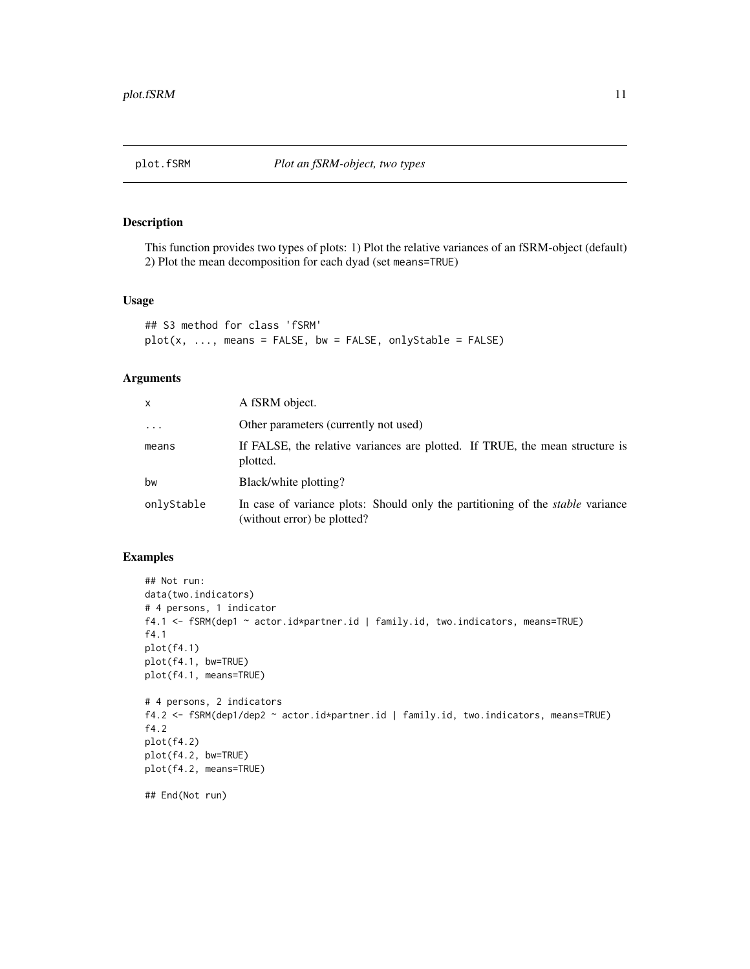<span id="page-10-1"></span><span id="page-10-0"></span>

# Description

This function provides two types of plots: 1) Plot the relative variances of an fSRM-object (default) 2) Plot the mean decomposition for each dyad (set means=TRUE)

#### Usage

```
## S3 method for class 'fSRM'
plot(x, ..., means = FALSE, bw = FALSE, onlyStable = FALSE)
```
# Arguments

| x          | A fSRM object.                                                                                                       |
|------------|----------------------------------------------------------------------------------------------------------------------|
| $\cdots$   | Other parameters (currently not used)                                                                                |
| means      | If FALSE, the relative variances are plotted. If TRUE, the mean structure is<br>plotted.                             |
| bw         | Black/white plotting?                                                                                                |
| onlvStable | In case of variance plots: Should only the partitioning of the <i>stable</i> variance<br>(without error) be plotted? |

# Examples

```
## Not run:
data(two.indicators)
# 4 persons, 1 indicator
f4.1 <- fSRM(dep1 ~ actor.id*partner.id | family.id, two.indicators, means=TRUE)
f4.1
plot(f4.1)
plot(f4.1, bw=TRUE)
plot(f4.1, means=TRUE)
# 4 persons, 2 indicators
f4.2 <- fSRM(dep1/dep2 ~ actor.id*partner.id | family.id, two.indicators, means=TRUE)
f4.2
plot(f4.2)
plot(f4.2, bw=TRUE)
plot(f4.2, means=TRUE)
## End(Not run)
```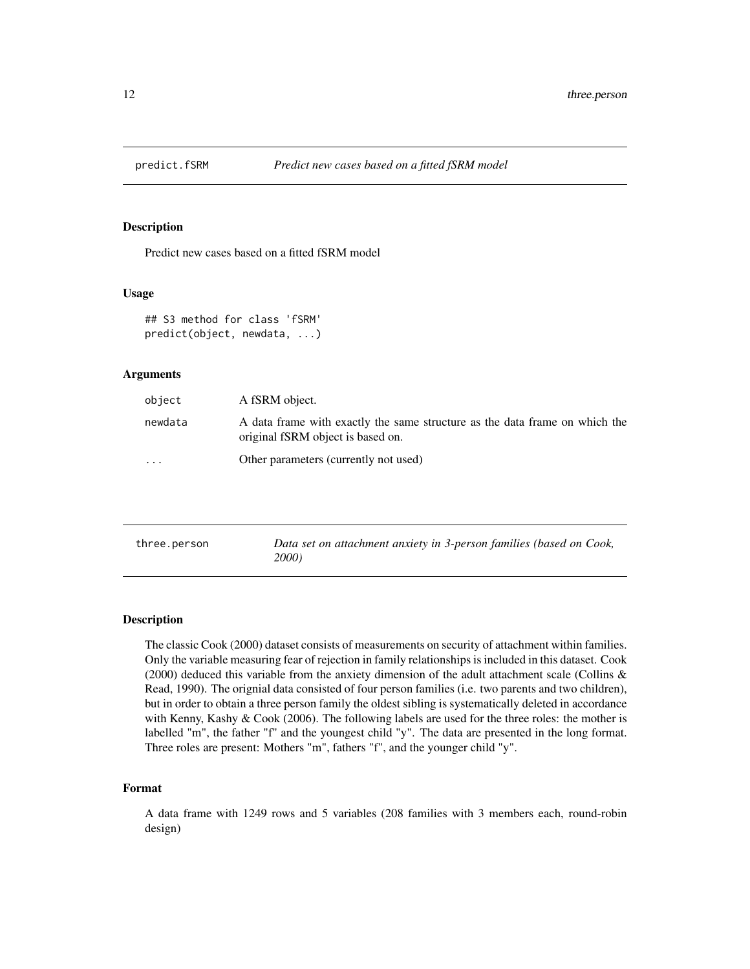<span id="page-11-0"></span>

#### Description

Predict new cases based on a fitted fSRM model

#### Usage

```
## S3 method for class 'fSRM'
predict(object, newdata, ...)
```
## Arguments

| object   | A fSRM object.                                                                                                   |
|----------|------------------------------------------------------------------------------------------------------------------|
| newdata  | A data frame with exactly the same structure as the data frame on which the<br>original fSRM object is based on. |
| $\cdots$ | Other parameters (currently not used)                                                                            |

| three.person | Data set on attachment anxiety in 3-person families (based on Cook, |
|--------------|---------------------------------------------------------------------|
|              | 2000)                                                               |

#### Description

The classic Cook (2000) dataset consists of measurements on security of attachment within families. Only the variable measuring fear of rejection in family relationships is included in this dataset. Cook (2000) deduced this variable from the anxiety dimension of the adult attachment scale (Collins  $\&$ Read, 1990). The orignial data consisted of four person families (i.e. two parents and two children), but in order to obtain a three person family the oldest sibling is systematically deleted in accordance with Kenny, Kashy & Cook (2006). The following labels are used for the three roles: the mother is labelled "m", the father "f" and the youngest child "y". The data are presented in the long format. Three roles are present: Mothers "m", fathers "f", and the younger child "y".

#### Format

A data frame with 1249 rows and 5 variables (208 families with 3 members each, round-robin design)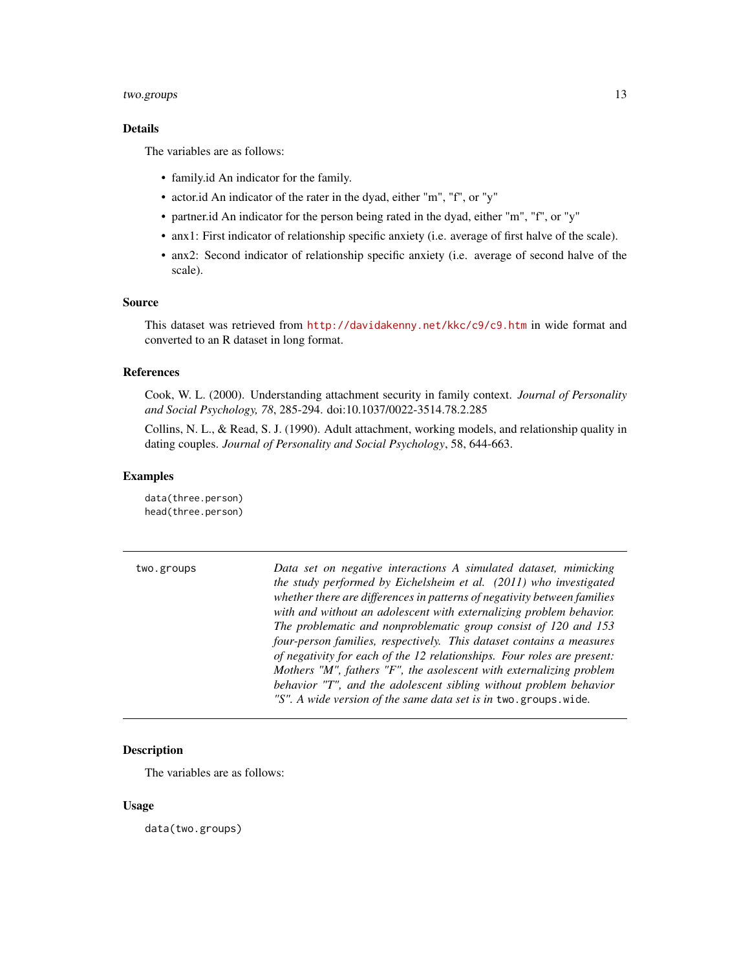#### <span id="page-12-0"></span>two.groups 13

# Details

The variables are as follows:

- family.id An indicator for the family.
- actor.id An indicator of the rater in the dyad, either "m", "f", or "y"
- partner.id An indicator for the person being rated in the dyad, either "m", "f", or "y"
- anx1: First indicator of relationship specific anxiety (i.e. average of first halve of the scale).
- anx2: Second indicator of relationship specific anxiety (i.e. average of second halve of the scale).

#### Source

This dataset was retrieved from <http://davidakenny.net/kkc/c9/c9.htm> in wide format and converted to an R dataset in long format.

# References

Cook, W. L. (2000). Understanding attachment security in family context. *Journal of Personality and Social Psychology, 78*, 285-294. doi:10.1037/0022-3514.78.2.285

Collins, N. L., & Read, S. J. (1990). Adult attachment, working models, and relationship quality in dating couples. *Journal of Personality and Social Psychology*, 58, 644-663.

#### Examples

data(three.person) head(three.person)

two.groups *Data set on negative interactions A simulated dataset, mimicking the study performed by Eichelsheim et al. (2011) who investigated whether there are differences in patterns of negativity between families with and without an adolescent with externalizing problem behavior. The problematic and nonproblematic group consist of 120 and 153 four-person families, respectively. This dataset contains a measures of negativity for each of the 12 relationships. Four roles are present: Mothers "M", fathers "F", the asolescent with externalizing problem behavior "T", and the adolescent sibling without problem behavior "S". A wide version of the same data set is in* two.groups.wide*.*

# Description

The variables are as follows:

#### Usage

data(two.groups)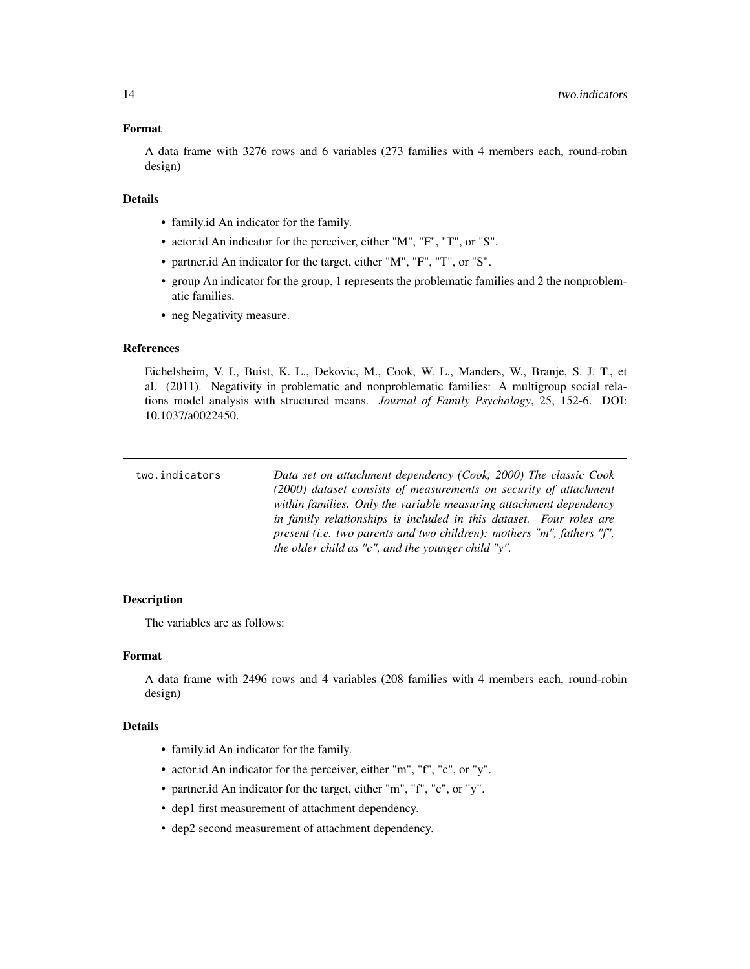#### <span id="page-13-0"></span>Format

A data frame with 3276 rows and 6 variables (273 families with 4 members each, round-robin design)

#### Details

- family.id An indicator for the family.
- actor.id An indicator for the perceiver, either "M", "F", "T", or "S".
- partner.id An indicator for the target, either "M", "F", "T", or "S".
- group An indicator for the group, 1 represents the problematic families and 2 the nonproblematic families.
- neg Negativity measure.

#### References

Eichelsheim, V. I., Buist, K. L., Dekovic, M., Cook, W. L., Manders, W., Branje, S. J. T., et al. (2011). Negativity in problematic and nonproblematic families: A multigroup social relations model analysis with structured means. *Journal of Family Psychology*, 25, 152-6. DOI: 10.1037/a0022450.

| two.indicators | Data set on attachment dependency (Cook, 2000) The classic Cook<br>(2000) dataset consists of measurements on security of attachment                                                                                        |
|----------------|-----------------------------------------------------------------------------------------------------------------------------------------------------------------------------------------------------------------------------|
|                | within families. Only the variable measuring attachment dependency<br>in family relationships is included in this dataset. Four roles are<br>present (i.e. two parents and two children): mothers " $m$ ", fathers " $f$ ", |
|                | the older child as "c", and the younger child "y".                                                                                                                                                                          |

# **Description**

The variables are as follows:

#### Format

A data frame with 2496 rows and 4 variables (208 families with 4 members each, round-robin design)

#### Details

- family.id An indicator for the family.
- actor.id An indicator for the perceiver, either "m", "f", "c", or "y".
- partner.id An indicator for the target, either "m", "f", "c", or "y".
- dep1 first measurement of attachment dependency.
- dep2 second measurement of attachment dependency.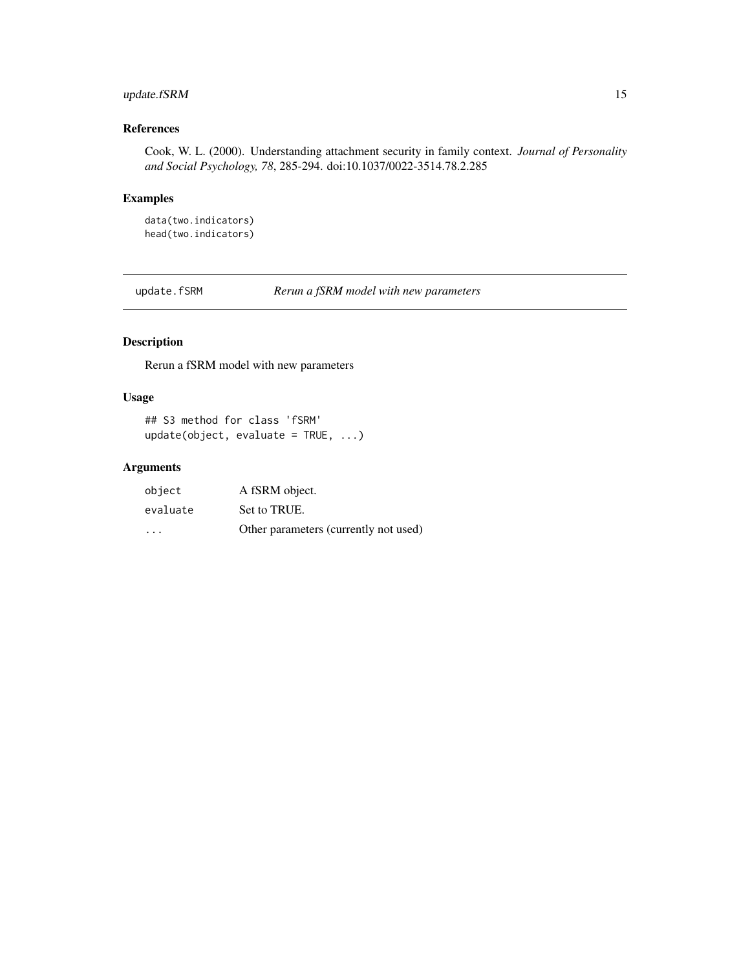# <span id="page-14-0"></span>update.fSRM 15

# References

Cook, W. L. (2000). Understanding attachment security in family context. *Journal of Personality and Social Psychology, 78*, 285-294. doi:10.1037/0022-3514.78.2.285

# Examples

data(two.indicators) head(two.indicators)

update.fSRM *Rerun a fSRM model with new parameters*

# Description

Rerun a fSRM model with new parameters

# Usage

```
## S3 method for class 'fSRM'
update(object, evaluate = TRUE, ...)
```
# Arguments

| object   | A fSRM object.                        |
|----------|---------------------------------------|
| evaluate | Set to TRUE.                          |
| $\cdot$  | Other parameters (currently not used) |